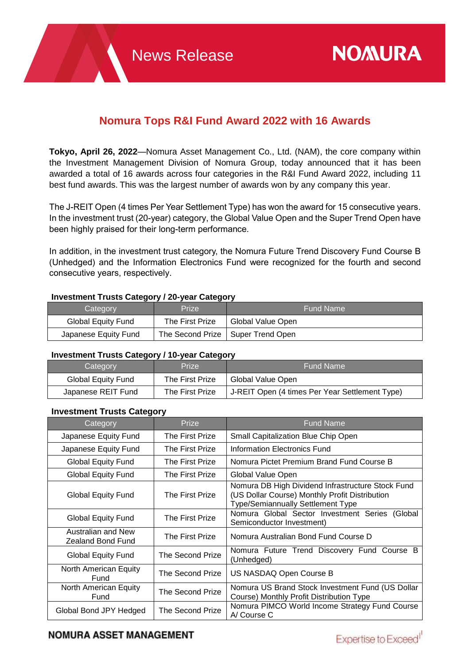# **Nomura Tops R&I Fund Award 2022 with 16 Awards**

**Tokyo, April 26, 2022**—Nomura Asset Management Co., Ltd. (NAM), the core company within the Investment Management Division of Nomura Group, today announced that it has been awarded a total of 16 awards across four categories in the R&I Fund Award 2022, including 11 best fund awards. This was the largest number of awards won by any company this year.

The J-REIT Open (4 times Per Year Settlement Type) has won the award for 15 consecutive years. In the investment trust (20-year) category, the Global Value Open and the Super Trend Open have been highly praised for their long-term performance.

In addition, in the investment trust category, the Nomura Future Trend Discovery Fund Course B (Unhedged) and the Information Electronics Fund were recognized for the fourth and second consecutive years, respectively.

### **Investment Trusts Category / 20-year Category**

| --                   |                 |                                     |
|----------------------|-----------------|-------------------------------------|
| Category             | Prize           | <b>Fund Name</b>                    |
| Global Equity Fund   | The First Prize | Global Value Open                   |
| Japanese Equity Fund |                 | The Second Prize   Super Trend Open |

### **Investment Trusts Category / 10-year Category**

| --<br>Category     | Prize <sup>1</sup> | <b>Fund Name</b>                               |
|--------------------|--------------------|------------------------------------------------|
| Global Equity Fund | The First Prize    | Global Value Open                              |
| Japanese REIT Fund | The First Prize    | J-REIT Open (4 times Per Year Settlement Type) |

# **Investment Trusts Category**

| Category                                       | Prize                   | <b>Fund Name</b>                                                                                                                                |
|------------------------------------------------|-------------------------|-------------------------------------------------------------------------------------------------------------------------------------------------|
| Japanese Equity Fund                           | The First Prize         | Small Capitalization Blue Chip Open                                                                                                             |
| Japanese Equity Fund                           | The First Prize         | Information Electronics Fund                                                                                                                    |
| Global Equity Fund                             | The First Prize         | Nomura Pictet Premium Brand Fund Course B                                                                                                       |
| <b>Global Equity Fund</b>                      | The First Prize         | Global Value Open                                                                                                                               |
| Global Equity Fund                             | The First Prize         | Nomura DB High Dividend Infrastructure Stock Fund<br>(US Dollar Course) Monthly Profit Distribution<br><b>Type/Semiannually Settlement Type</b> |
| Global Equity Fund                             | The First Prize         | Nomura Global Sector Investment Series<br>(Global)<br>Semiconductor Investment)                                                                 |
| Australian and New<br><b>Zealand Bond Fund</b> | The First Prize         | Nomura Australian Bond Fund Course D                                                                                                            |
| Global Equity Fund                             | <b>The Second Prize</b> | Nomura Future Trend Discovery Fund Course B<br>(Unhedged)                                                                                       |
| North American Equity<br>Fund                  | The Second Prize        | US NASDAQ Open Course B                                                                                                                         |
| North American Equity<br>Fund                  | The Second Prize        | Nomura US Brand Stock Investment Fund (US Dollar<br>Course) Monthly Profit Distribution Type                                                    |
| Global Bond JPY Hedged                         | <b>The Second Prize</b> | Nomura PIMCO World Income Strategy Fund Course<br>A/ Course C                                                                                   |

# **NOMURA ASSET MANAGEMENT**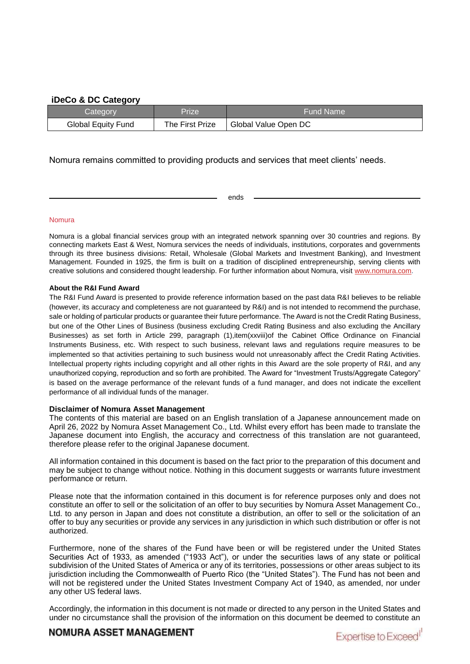### **iDeCo & DC Category**

| Category                  | Prize           | <b>Fund Name</b>     |
|---------------------------|-----------------|----------------------|
| <b>Global Equity Fund</b> | The First Prize | Global Value Open DC |

### Nomura remains committed to providing products and services that meet clients' needs.

ends

#### Nomura

Nomura is a global financial services group with an integrated network spanning over 30 countries and regions. By connecting markets East & West, Nomura services the needs of individuals, institutions, corporates and governments through its three business divisions: Retail, Wholesale (Global Markets and Investment Banking), and Investment Management. Founded in 1925, the firm is built on a tradition of disciplined entrepreneurship, serving clients with creative solutions and considered thought leadership. For further information about Nomura, visit [www.nomura.com.](https://www.nomura.com/)

#### **About the R&I Fund Award**

The R&I Fund Award is presented to provide reference information based on the past data R&I believes to be reliable (however, its accuracy and completeness are not guaranteed by R&I) and is not intended to recommend the purchase, sale or holding of particular products or guarantee their future performance. The Award is not the Credit Rating Business, but one of the Other Lines of Business (business excluding Credit Rating Business and also excluding the Ancillary Businesses) as set forth in Article 299, paragraph (1),item(xxviii)of the Cabinet Office Ordinance on Financial Instruments Business, etc. With respect to such business, relevant laws and regulations require measures to be implemented so that activities pertaining to such business would not unreasonably affect the Credit Rating Activities. Intellectual property rights including copyright and all other rights in this Award are the sole property of R&I, and any unauthorized copying, reproduction and so forth are prohibited. The Award for "Investment Trusts/Aggregate Category" is based on the average performance of the relevant funds of a fund manager, and does not indicate the excellent performance of all individual funds of the manager.

#### **Disclaimer of Nomura Asset Management**

The contents of this material are based on an English translation of a Japanese announcement made on April 26, 2022 by Nomura Asset Management Co., Ltd. Whilst every effort has been made to translate the Japanese document into English, the accuracy and correctness of this translation are not guaranteed, therefore please refer to the original Japanese document.

All information contained in this document is based on the fact prior to the preparation of this document and may be subject to change without notice. Nothing in this document suggests or warrants future investment performance or return.

Please note that the information contained in this document is for reference purposes only and does not constitute an offer to sell or the solicitation of an offer to buy securities by Nomura Asset Management Co., Ltd. to any person in Japan and does not constitute a distribution, an offer to sell or the solicitation of an offer to buy any securities or provide any services in any jurisdiction in which such distribution or offer is not authorized.

Furthermore, none of the shares of the Fund have been or will be registered under the United States Securities Act of 1933, as amended ("1933 Act"), or under the securities laws of any state or political subdivision of the United States of America or any of its territories, possessions or other areas subject to its jurisdiction including the Commonwealth of Puerto Rico (the "United States"). The Fund has not been and will not be registered under the United States Investment Company Act of 1940, as amended, nor under any other US federal laws.

Accordingly, the information in this document is not made or directed to any person in the United States and under no circumstance shall the provision of the information on this document be deemed to constitute an

## **NOMURA ASSET MANAGEMENT**